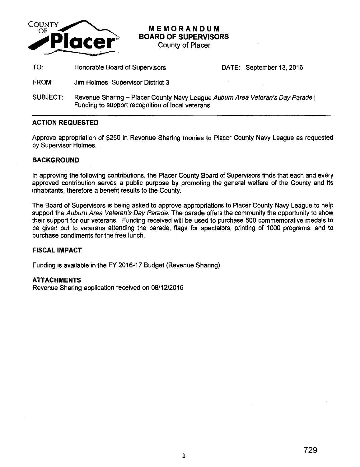

**MEMORANDUM BOARD OF SUPERVISORS** 

County of Placer

TO: Honorable Board of Supervisors DATE: September 13, 2016

- FROM: Jim Holmes, Supervisor District 3
- SUBJECT: Revenue Sharing Placer County Navy League Auburn Area Veteran's Day Parade | Funding to support recognition of local veterans

## **ACTION REQUESTED**

Approve appropriation of \$250 in Revenue Sharing monies to Placer County Navy League as requested by Supervisor Holmes.

## **BACKGROUND**

In approving the following contributions, the Placer County Board of Supervisors finds that each and every approved contribution serves a public purpose by promoting the general welfare of the County and its inhabitants, therefore a benefit results to the County.

The Board of Supervisors is being asked to approve appropriations to Placer County Navy League to help support the Auburn Area Veteran's Day Parade. The parade offers the community the opportunity to show their support for our veterans. Funding received will be used to purchase 500 commemorative medals to be given out to veterans attending the parade, flags for spectators, printing of 1 000 programs, and to purchase condiments for the free lunch.

## **FISCAL IMPACT**

Funding is available in the FY 2016-17 Budget (Revenue Sharing)

## **ATTACHMENTS**

Revenue Sharing application received on 08/12/2016